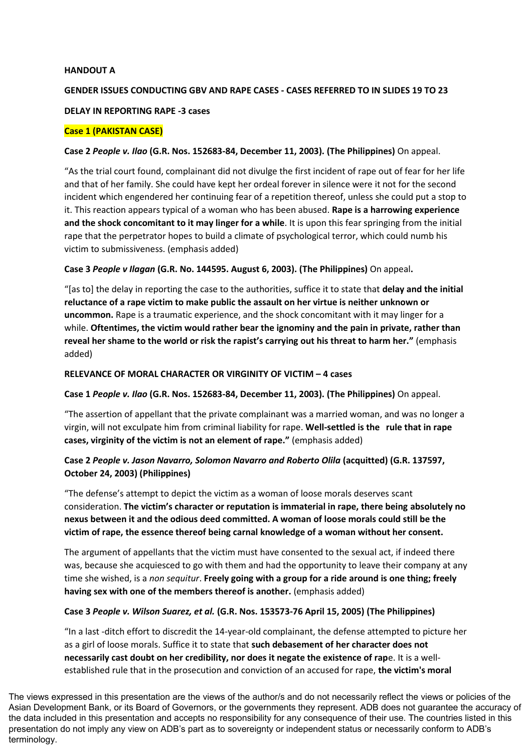#### **HANDOUT A**

## **GENDER ISSUES CONDUCTING GBV AND RAPE CASES - CASES REFERRED TO IN SLIDES 19 TO 23**

### **DELAY IN REPORTING RAPE -3 cases**

### **Case 1 (PAKISTAN CASE)**

### **Case 2** *People v. Ilao* **(G.R. Nos. 152683-84, December 11, 2003). (The Philippines)** On appeal.

"As the trial court found, complainant did not divulge the first incident of rape out of fear for her life and that of her family. She could have kept her ordeal forever in silence were it not for the second incident which engendered her continuing fear of a repetition thereof, unless she could put a stop to it. This reaction appears typical of a woman who has been abused. **Rape is a harrowing experience and the shock concomitant to it may linger for a while**. It is upon this fear springing from the initial rape that the perpetrator hopes to build a climate of psychological terror, which could numb his victim to submissiveness. (emphasis added)

### **Case 3** *People v Ilagan* **(G.R. No. 144595. August 6, 2003). (The Philippines)** On appeal**.**

"[as to] the delay in reporting the case to the authorities, suffice it to state that **delay and the initial reluctance of a rape victim to make public the assault on her virtue is neither unknown or uncommon.** Rape is a traumatic experience, and the shock concomitant with it may linger for a while. **Oftentimes, the victim would rather bear the ignominy and the pain in private, rather than reveal her shame to the world or risk the rapist's carrying out his threat to harm her."** (emphasis added)

#### **RELEVANCE OF MORAL CHARACTER OR VIRGINITY OF VICTIM – 4 cases**

### **Case 1** *People v. Ilao* **(G.R. Nos. 152683-84, December 11, 2003). (The Philippines)** On appeal.

"The assertion of appellant that the private complainant was a married woman, and was no longer a virgin, will not exculpate him from criminal liability for rape. **Well-settled is the rule that in rape cases, virginity of the victim is not an element of rape."** (emphasis added)

## **Case 2** *People v. Jason Navarro, Solomon Navarro and Roberto Olila* **(acquitted) (G.R. 137597, October 24, 2003) (Philippines)**

"The defense's attempt to depict the victim as a woman of loose morals deserves scant consideration. **The victim's character or reputation is immaterial in rape, there being absolutely no nexus between it and the odious deed committed. A woman of loose morals could still be the victim of rape, the essence thereof being carnal knowledge of a woman without her consent.**

The argument of appellants that the victim must have consented to the sexual act, if indeed there was, because she acquiesced to go with them and had the opportunity to leave their company at any time she wished, is a *non sequitur*. **Freely going with a group for a ride around is one thing; freely having sex with one of the members thereof is another.** (emphasis added)

### **Case 3** *People v. Wilson Suarez, et al.* **(G.R. Nos. 153573-76 April 15, 2005) (The Philippines)**

"In a last -ditch effort to discredit the 14-year-old complainant, the defense attempted to picture her as a girl of loose morals. Suffice it to state that **such debasement of her character does not necessarily cast doubt on her credibility, nor does it negate the existence of rap**e. It is a wellestablished rule that in the prosecution and conviction of an accused for rape, **the victim's moral** 

The views expressed in this presentation are the views of the author/s and do not necessarily reflect the views or policies of the Asian Development Bank, or its Board of Governors, or the governments they represent. ADB does not guarantee the accuracy of the data included in this presentation and accepts no responsibility for any consequence of their use. The countries listed in this presentation do not imply any view on ADB's part as to sovereignty or independent status or necessarily conform to ADB's terminology.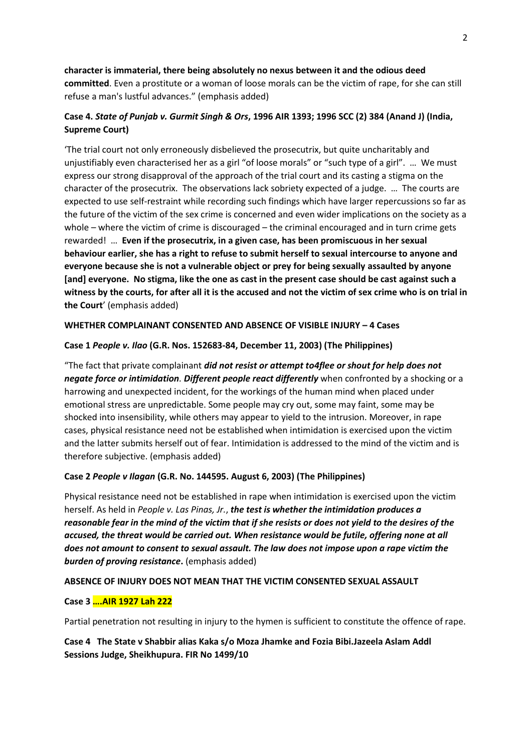# **character is immaterial, there being absolutely no nexus between it and the odious deed committed**. Even a prostitute or a woman of loose morals can be the victim of rape, for she can still refuse a man's lustful advances." (emphasis added)

# **Case 4.** *State of Punjab v. Gurmit Singh & Ors***, 1996 AIR 1393; 1996 SCC (2) 384 (Anand J) (India, Supreme Court)**

'The trial court not only erroneously disbelieved the prosecutrix, but quite uncharitably and unjustifiably even characterised her as a girl "of loose morals" or "such type of a girl". … We must express our strong disapproval of the approach of the trial court and its casting a stigma on the character of the prosecutrix. The observations lack sobriety expected of a judge. … The courts are expected to use self-restraint while recording such findings which have larger repercussions so far as the future of the victim of the sex crime is concerned and even wider implications on the society as a whole – where the victim of crime is discouraged – the criminal encouraged and in turn crime gets rewarded! … **Even if the prosecutrix, in a given case, has been promiscuous in her sexual behaviour earlier, she has a right to refuse to submit herself to sexual intercourse to anyone and everyone because she is not a vulnerable object or prey for being sexually assaulted by anyone [and] everyone. No stigma, like the one as cast in the present case should be cast against such a witness by the courts, for after all it is the accused and not the victim of sex crime who is on trial in the Court**' (emphasis added)

### **WHETHER COMPLAINANT CONSENTED AND ABSENCE OF VISIBLE INJURY – 4 Cases**

### **Case 1** *People v. Ilao* **(G.R. Nos. 152683-84, December 11, 2003) (The Philippines)**

"The fact that private complainant *did not resist or attempt to4flee or shout for help does not negate force or intimidation. Different people react differently* when confronted by a shocking or a harrowing and unexpected incident, for the workings of the human mind when placed under emotional stress are unpredictable. Some people may cry out, some may faint, some may be shocked into insensibility, while others may appear to yield to the intrusion. Moreover, in rape cases, physical resistance need not be established when intimidation is exercised upon the victim and the latter submits herself out of fear. Intimidation is addressed to the mind of the victim and is therefore subjective. (emphasis added)

### **Case 2** *People v Ilagan* **(G.R. No. 144595. August 6, 2003) (The Philippines)**

Physical resistance need not be established in rape when intimidation is exercised upon the victim herself. As held in *People v. Las Pinas, Jr.*, *the test is whether the intimidation produces a reasonable fear in the mind of the victim that if she resists or does not yield to the desires of the accused, the threat would be carried out. When resistance would be futile, offering none at all does not amount to consent to sexual assault. The law does not impose upon a rape victim the*  **burden of proving resistance**. (emphasis added)

### **ABSENCE OF INJURY DOES NOT MEAN THAT THE VICTIM CONSENTED SEXUAL ASSAULT**

## **Case 3 ….AIR 1927 Lah 222**

Partial penetration not resulting in injury to the hymen is sufficient to constitute the offence of rape.

## **Case 4 The State v Shabbir alias Kaka s/o Moza Jhamke and Fozia Bibi.Jazeela Aslam Addl Sessions Judge, Sheikhupura. FIR No 1499/10**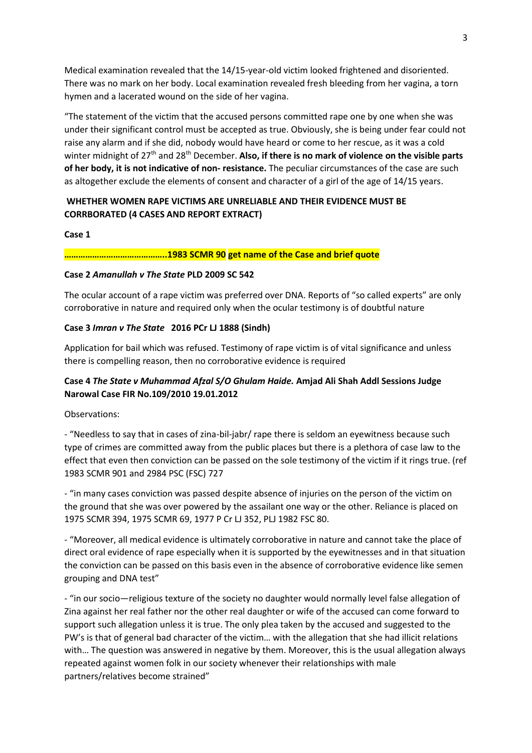Medical examination revealed that the 14/15-year-old victim looked frightened and disoriented. There was no mark on her body. Local examination revealed fresh bleeding from her vagina, a torn hymen and a lacerated wound on the side of her vagina.

"The statement of the victim that the accused persons committed rape one by one when she was under their significant control must be accepted as true. Obviously, she is being under fear could not raise any alarm and if she did, nobody would have heard or come to her rescue, as it was a cold winter midnight of 27th and 28th December. **Also, if there is no mark of violence on the visible parts of her body, it is not indicative of non- resistance.** The peculiar circumstances of the case are such as altogether exclude the elements of consent and character of a girl of the age of 14/15 years.

# **WHETHER WOMEN RAPE VICTIMS ARE UNRELIABLE AND THEIR EVIDENCE MUST BE CORRBORATED (4 CASES AND REPORT EXTRACT)**

### **Case 1**

### **……………………………………..1983 SCMR 90 get name of the Case and brief quote**

### **Case 2** *Amanullah v The State* **PLD 2009 SC 542**

The ocular account of a rape victim was preferred over DNA. Reports of "so called experts" are only corroborative in nature and required only when the ocular testimony is of doubtful nature

## **Case 3** *Imran v The State* **2016 PCr LJ 1888 (Sindh)**

Application for bail which was refused. Testimony of rape victim is of vital significance and unless there is compelling reason, then no corroborative evidence is required

# **Case 4** *The State v Muhammad Afzal S/O Ghulam Haide.* **Amjad Ali Shah Addl Sessions Judge Narowal Case FIR No.109/2010 19.01.2012**

Observations:

- "Needless to say that in cases of zina-bil-jabr/ rape there is seldom an eyewitness because such type of crimes are committed away from the public places but there is a plethora of case law to the effect that even then conviction can be passed on the sole testimony of the victim if it rings true. (ref 1983 SCMR 901 and 2984 PSC (FSC) 727

- "in many cases conviction was passed despite absence of injuries on the person of the victim on the ground that she was over powered by the assailant one way or the other. Reliance is placed on 1975 SCMR 394, 1975 SCMR 69, 1977 P Cr LJ 352, PLJ 1982 FSC 80.

- "Moreover, all medical evidence is ultimately corroborative in nature and cannot take the place of direct oral evidence of rape especially when it is supported by the eyewitnesses and in that situation the conviction can be passed on this basis even in the absence of corroborative evidence like semen grouping and DNA test"

- "in our socio—religious texture of the society no daughter would normally level false allegation of Zina against her real father nor the other real daughter or wife of the accused can come forward to support such allegation unless it is true. The only plea taken by the accused and suggested to the PW's is that of general bad character of the victim… with the allegation that she had illicit relations with… The question was answered in negative by them. Moreover, this is the usual allegation always repeated against women folk in our society whenever their relationships with male partners/relatives become strained"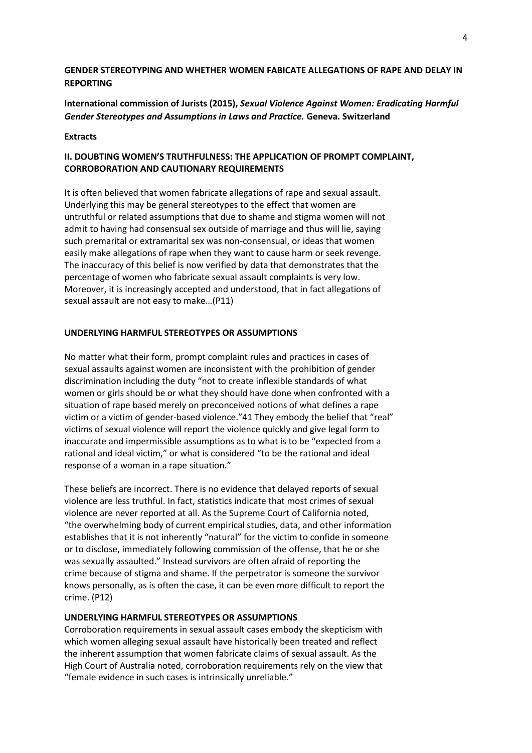### **GENDER STEREOTYPING AND WHETHER WOMEN FABICATE ALLEGATIONS OF RAPE AND DELAY IN REPORTING**

## **International commission of Jurists (2015),** *Sexual Violence Against Women: Eradicating Harmful Gender Stereotypes and Assumptions in Laws and Practice.* **Geneva. Switzerland**

#### **Extracts**

### **II. DOUBTING WOMEN'S TRUTHFULNESS: THE APPLICATION OF PROMPT COMPLAINT, CORROBORATION AND CAUTIONARY REQUIREMENTS**

It is often believed that women fabricate allegations of rape and sexual assault. Underlying this may be general stereotypes to the effect that women are untruthful or related assumptions that due to shame and stigma women will not admit to having had consensual sex outside of marriage and thus will lie, saying such premarital or extramarital sex was non-consensual, or ideas that women easily make allegations of rape when they want to cause harm or seek revenge. The inaccuracy of this belief is now verified by data that demonstrates that the percentage of women who fabricate sexual assault complaints is very low. Moreover, it is increasingly accepted and understood, that in fact allegations of sexual assault are not easy to make…(P11)

#### **UNDERLYING HARMFUL STEREOTYPES OR ASSUMPTIONS**

No matter what their form, prompt complaint rules and practices in cases of sexual assaults against women are inconsistent with the prohibition of gender discrimination including the duty "not to create inflexible standards of what women or girls should be or what they should have done when confronted with a situation of rape based merely on preconceived notions of what defines a rape victim or a victim of gender-based violence."41 They embody the belief that "real" victims of sexual violence will report the violence quickly and give legal form to inaccurate and impermissible assumptions as to what is to be "expected from a rational and ideal victim," or what is considered "to be the rational and ideal response of a woman in a rape situation."

These beliefs are incorrect. There is no evidence that delayed reports of sexual violence are less truthful. In fact, statistics indicate that most crimes of sexual violence are never reported at all. As the Supreme Court of California noted, "the overwhelming body of current empirical studies, data, and other information establishes that it is not inherently "natural" for the victim to confide in someone or to disclose, immediately following commission of the offense, that he or she was sexually assaulted." Instead survivors are often afraid of reporting the crime because of stigma and shame. If the perpetrator is someone the survivor knows personally, as is often the case, it can be even more difficult to report the crime. (P12)

#### **UNDERLYING HARMFUL STEREOTYPES OR ASSUMPTIONS**

Corroboration requirements in sexual assault cases embody the skepticism with which women alleging sexual assault have historically been treated and reflect the inherent assumption that women fabricate claims of sexual assault. As the High Court of Australia noted, corroboration requirements rely on the view that "female evidence in such cases is intrinsically unreliable."